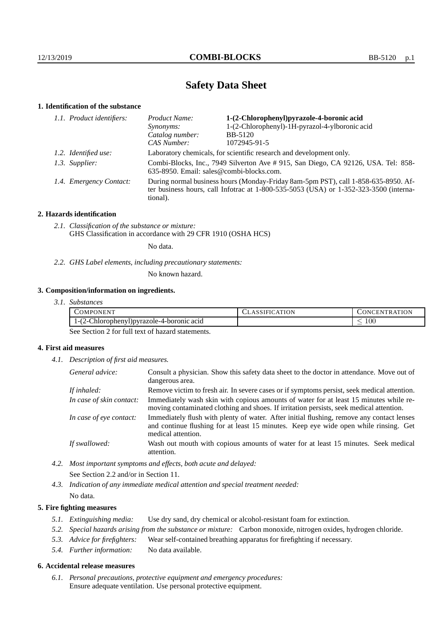# **Safety Data Sheet**

### **1. Identification of the substance**

| 1.1. Product identifiers: | Product Name:                                                                                                                                                                           | 1-(2-Chlorophenyl)pyrazole-4-boronic acid      |
|---------------------------|-----------------------------------------------------------------------------------------------------------------------------------------------------------------------------------------|------------------------------------------------|
|                           | Synonyms:                                                                                                                                                                               | 1-(2-Chlorophenyl)-1H-pyrazol-4-ylboronic acid |
|                           | Catalog number:                                                                                                                                                                         | <b>BB-5120</b>                                 |
|                           | CAS Number:                                                                                                                                                                             | 1072945-91-5                                   |
| 1.2. Identified use:      | Laboratory chemicals, for scientific research and development only.                                                                                                                     |                                                |
| 1.3. Supplier:            | Combi-Blocks, Inc., 7949 Silverton Ave # 915, San Diego, CA 92126, USA. Tel: 858-<br>635-8950. Email: sales@combi-blocks.com.                                                           |                                                |
| 1.4. Emergency Contact:   | During normal business hours (Monday-Friday 8am-5pm PST), call 1-858-635-8950. Af-<br>ter business hours, call Infotrac at 1-800-535-5053 (USA) or 1-352-323-3500 (interna-<br>tional). |                                                |

### **2. Hazards identification**

*2.1. Classification of the substance or mixture:* GHS Classification in accordance with 29 CFR 1910 (OSHA HCS)

No data.

*2.2. GHS Label elements, including precautionary statements:*

No known hazard.

## **3. Composition/information on ingredients.**

| 3.1. Substances |  |
|-----------------|--|
|                 |  |

| <b>ONENT</b><br>.)MPC                    | ATION<br>$\mathbf{A}$<br><b>IFL</b> | ATION<br>-EN'<br>''I`R A`I<br>אמי |
|------------------------------------------|-------------------------------------|-----------------------------------|
| http://porazole-4-boronic acid<br>.<br>. |                                     | 100<br>_                          |

See Section 2 for full text of hazard statements.

## **4. First aid measures**

*4.1. Description of first aid measures.*

| General advice:          | Consult a physician. Show this safety data sheet to the doctor in attendance. Move out of<br>dangerous area.                                                                                            |
|--------------------------|---------------------------------------------------------------------------------------------------------------------------------------------------------------------------------------------------------|
| If inhaled:              | Remove victim to fresh air. In severe cases or if symptoms persist, seek medical attention.                                                                                                             |
| In case of skin contact: | Immediately wash skin with copious amounts of water for at least 15 minutes while re-<br>moving contaminated clothing and shoes. If irritation persists, seek medical attention.                        |
| In case of eye contact:  | Immediately flush with plenty of water. After initial flushing, remove any contact lenses<br>and continue flushing for at least 15 minutes. Keep eye wide open while rinsing. Get<br>medical attention. |
| If swallowed:            | Wash out mouth with copious amounts of water for at least 15 minutes. Seek medical<br>attention.                                                                                                        |

*4.2. Most important symptoms and effects, both acute and delayed:* See Section 2.2 and/or in Section 11.

*4.3. Indication of any immediate medical attention and special treatment needed:* No data.

### **5. Fire fighting measures**

- *5.1. Extinguishing media:* Use dry sand, dry chemical or alcohol-resistant foam for extinction.
- *5.2. Special hazards arising from the substance or mixture:* Carbon monoxide, nitrogen oxides, hydrogen chloride.
- *5.3. Advice for firefighters:* Wear self-contained breathing apparatus for firefighting if necessary.
- *5.4. Further information:* No data available.

### **6. Accidental release measures**

*6.1. Personal precautions, protective equipment and emergency procedures:* Ensure adequate ventilation. Use personal protective equipment.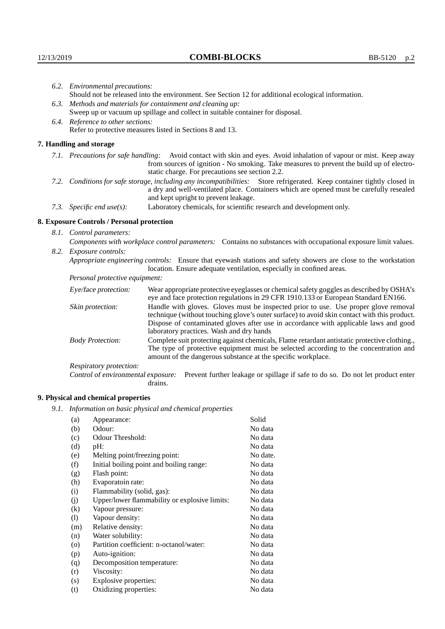| 6.2. Environmental precautions:                                                                                                                                                                                                                            |                                                                                                                                                                                                                                                                    |  |  |
|------------------------------------------------------------------------------------------------------------------------------------------------------------------------------------------------------------------------------------------------------------|--------------------------------------------------------------------------------------------------------------------------------------------------------------------------------------------------------------------------------------------------------------------|--|--|
|                                                                                                                                                                                                                                                            | Should not be released into the environment. See Section 12 for additional ecological information.                                                                                                                                                                 |  |  |
|                                                                                                                                                                                                                                                            | 6.3. Methods and materials for containment and cleaning up:                                                                                                                                                                                                        |  |  |
|                                                                                                                                                                                                                                                            | Sweep up or vacuum up spillage and collect in suitable container for disposal.                                                                                                                                                                                     |  |  |
| 6.4. Reference to other sections:                                                                                                                                                                                                                          |                                                                                                                                                                                                                                                                    |  |  |
|                                                                                                                                                                                                                                                            | Refer to protective measures listed in Sections 8 and 13.                                                                                                                                                                                                          |  |  |
| 7. Handling and storage                                                                                                                                                                                                                                    |                                                                                                                                                                                                                                                                    |  |  |
|                                                                                                                                                                                                                                                            | 7.1. Precautions for safe handling: Avoid contact with skin and eyes. Avoid inhalation of vapour or mist. Keep away<br>from sources of ignition - No smoking. Take measures to prevent the build up of electro-<br>static charge. For precautions see section 2.2. |  |  |
| 7.2. Conditions for safe storage, including any incompatibilities: Store refrigerated. Keep container tightly closed in<br>a dry and well-ventilated place. Containers which are opened must be carefully resealed<br>and kept upright to prevent leakage. |                                                                                                                                                                                                                                                                    |  |  |
| 7.3. Specific end use(s):                                                                                                                                                                                                                                  | Laboratory chemicals, for scientific research and development only.                                                                                                                                                                                                |  |  |
| 8. Exposure Controls / Personal protection                                                                                                                                                                                                                 |                                                                                                                                                                                                                                                                    |  |  |
| 8.1. Control parameters:                                                                                                                                                                                                                                   |                                                                                                                                                                                                                                                                    |  |  |
| Components with workplace control parameters: Contains no substances with occupational exposure limit values.                                                                                                                                              |                                                                                                                                                                                                                                                                    |  |  |
| 8.2. Exposure controls:                                                                                                                                                                                                                                    |                                                                                                                                                                                                                                                                    |  |  |
|                                                                                                                                                                                                                                                            | Appropriate engineering controls: Ensure that eyewash stations and safety showers are close to the workstation<br>location. Ensure adequate ventilation, especially in confined areas.                                                                             |  |  |
| Personal protective equipment:                                                                                                                                                                                                                             |                                                                                                                                                                                                                                                                    |  |  |
| Eye/face protection:                                                                                                                                                                                                                                       | Wear appropriate protective eyeglasses or chemical safety goggles as described by OSHA's<br>eye and face protection regulations in 29 CFR 1910.133 or European Standard EN166.                                                                                     |  |  |
| Skin protection:                                                                                                                                                                                                                                           | Handle with gloves. Gloves must be inspected prior to use. Use proper glove removal<br>technique (without touching glove's outer surface) to avoid skin contact with this product.                                                                                 |  |  |

| Eye/face protection:               | Wear appropriate protective eyeglasses or chemical safety goggles as described by OSHA's<br>eye and face protection regulations in 29 CFR 1910.133 or European Standard EN166.                                                                                                                                         |  |
|------------------------------------|------------------------------------------------------------------------------------------------------------------------------------------------------------------------------------------------------------------------------------------------------------------------------------------------------------------------|--|
| Skin protection:                   | Handle with gloves. Gloves must be inspected prior to use. Use proper glove removal<br>technique (without touching glove's outer surface) to avoid skin contact with this product.<br>Dispose of contaminated gloves after use in accordance with applicable laws and good<br>laboratory practices. Wash and dry hands |  |
| <b>Body Protection:</b>            | Complete suit protecting against chemicals, Flame retardant antistatic protective clothing.,<br>The type of protective equipment must be selected according to the concentration and<br>amount of the dangerous substance at the specific workplace.                                                                   |  |
| Respiratory protection:            |                                                                                                                                                                                                                                                                                                                        |  |
| Control of environmental exposure: | Prevent further leakage or spillage if safe to do so. Do not let product enter<br>drains.                                                                                                                                                                                                                              |  |

## **9. Physical and chemical properties**

*9.1. Information on basic physical and chemical properties*

| (a)                | Appearance:                                   | Solid    |
|--------------------|-----------------------------------------------|----------|
| (b)                | Odour:                                        | No data  |
| (c)                | Odour Threshold:                              | No data  |
| (d)                | pH:                                           | No data  |
| (e)                | Melting point/freezing point:                 | No date. |
| (f)                | Initial boiling point and boiling range:      | No data  |
| (g)                | Flash point:                                  | No data  |
| (h)                | Evaporatoin rate:                             | No data  |
| (i)                | Flammability (solid, gas):                    | No data  |
| (i)                | Upper/lower flammability or explosive limits: | No data  |
| $\rm(k)$           | Vapour pressure:                              | No data  |
| (1)                | Vapour density:                               | No data  |
| (m)                | Relative density:                             | No data  |
| (n)                | Water solubility:                             | No data  |
| $\left( 0 \right)$ | Partition coefficient: n-octanol/water:       | No data  |
| (p)                | Auto-ignition:                                | No data  |
| (q)                | Decomposition temperature:                    | No data  |
| (r)                | Viscosity:                                    | No data  |
| (s)                | Explosive properties:                         | No data  |
| (t)                | Oxidizing properties:                         | No data  |